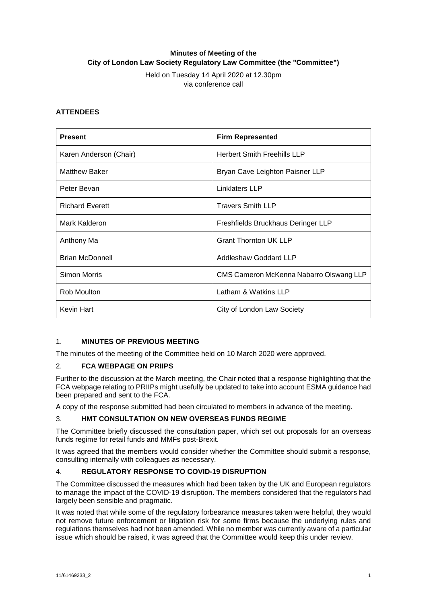# **Minutes of Meeting of the City of London Law Society Regulatory Law Committee (the "Committee")**

Held on Tuesday 14 April 2020 at 12.30pm via conference call

### **ATTENDEES**

| <b>Present</b>         | <b>Firm Represented</b>                 |
|------------------------|-----------------------------------------|
| Karen Anderson (Chair) | <b>Herbert Smith Freehills LLP</b>      |
| <b>Matthew Baker</b>   | Bryan Cave Leighton Paisner LLP         |
| Peter Bevan            | Linklaters LLP                          |
| <b>Richard Everett</b> | <b>Travers Smith LLP</b>                |
| Mark Kalderon          | Freshfields Bruckhaus Deringer LLP      |
| Anthony Ma             | <b>Grant Thornton UK LLP</b>            |
| <b>Brian McDonnell</b> | Addleshaw Goddard LLP                   |
| Simon Morris           | CMS Cameron McKenna Nabarro Olswang LLP |
| Rob Moulton            | Latham & Watkins LLP                    |
| Kevin Hart             | City of London Law Society              |

## 1. **MINUTES OF PREVIOUS MEETING**

The minutes of the meeting of the Committee held on 10 March 2020 were approved.

#### 2. **FCA WEBPAGE ON PRIIPS**

Further to the discussion at the March meeting, the Chair noted that a response highlighting that the FCA webpage relating to PRIIPs might usefully be updated to take into account ESMA guidance had been prepared and sent to the FCA.

A copy of the response submitted had been circulated to members in advance of the meeting.

#### 3. **HMT CONSULTATION ON NEW OVERSEAS FUNDS REGIME**

The Committee briefly discussed the consultation paper, which set out proposals for an overseas funds regime for retail funds and MMFs post-Brexit.

It was agreed that the members would consider whether the Committee should submit a response, consulting internally with colleagues as necessary.

#### 4. **REGULATORY RESPONSE TO COVID-19 DISRUPTION**

The Committee discussed the measures which had been taken by the UK and European regulators to manage the impact of the COVID-19 disruption. The members considered that the regulators had largely been sensible and pragmatic.

It was noted that while some of the regulatory forbearance measures taken were helpful, they would not remove future enforcement or litigation risk for some firms because the underlying rules and regulations themselves had not been amended. While no member was currently aware of a particular issue which should be raised, it was agreed that the Committee would keep this under review.